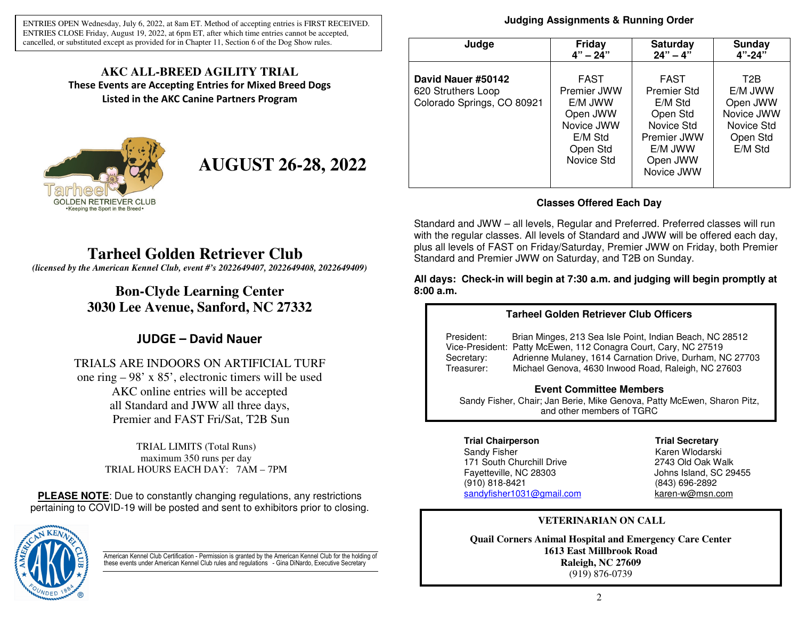ENTRIES OPEN Wednesday, July 6, 2022, at 8am ET. Method of accepting entries is FIRST RECEIVED. ENTRIES CLOSE Friday, August 19, 2022, at 6pm ET, after which time entries cannot be accepted, cancelled, or substituted except as provided for in Chapter 11, Section 6 of the Dog Show rules.

### **AKC ALL-BREED AGILITY TRIAL These Events are Accepting Entries for Mixed Breed Dogs Listed in the AKC Canine Partners Program**



**AUGUST 26-28, 2022** 

# **Tarheel Golden Retriever Club**

*(licensed by the American Kennel Club, event #'s 2022649407, 2022649408, 2022649409)*

## **Bon-Clyde Learning Center 3030 Lee Avenue, Sanford, NC 27332**

## **JUDGE – David Nauer**

### TRIALS ARE INDOORS ON ARTIFICIAL TURF one ring – 98' x 85', electronic timers will be used AKC online entries will be accepted all Standard and JWW all three days, Premier and FAST Fri/Sat, T2B Sun

TRIAL LIMITS (Total Runs) maximum 350 runs per day TRIAL HOURS EACH DAY: 7AM – 7PM

**PLEASE NOTE**: Due to constantly changing regulations, any restrictions pertaining to COVID-19 will be posted and sent to exhibitors prior to closing.



American Kennel Club Certification - Permission is granted by the American Kennel Club for the holding of these events under American Kennel Club rules and regulations - Gina DiNardo, Executive Secretary

### **Judging Assignments & Running Order**

| Judge                                                                  | <b>Friday</b>                                                                                        | <b>Saturday</b>                                                                                                     | <b>Sunday</b>                                                                              |  |
|------------------------------------------------------------------------|------------------------------------------------------------------------------------------------------|---------------------------------------------------------------------------------------------------------------------|--------------------------------------------------------------------------------------------|--|
|                                                                        | $4" - 24"$                                                                                           | $24" - 4"$                                                                                                          | $4" - 24"$                                                                                 |  |
| David Nauer #50142<br>620 Struthers Loop<br>Colorado Springs, CO 80921 | <b>FAST</b><br>Premier JWW<br>E/M JWW<br>Open JWW<br>Novice JWW<br>E/M Std<br>Open Std<br>Novice Std | <b>FAST</b><br>Premier Std<br>E/M Std<br>Open Std<br>Novice Std<br>Premier JWW<br>E/M JWW<br>Open JWW<br>Novice JWW | T <sub>2</sub> B<br>E/M JWW<br>Open JWW<br>Novice JWW<br>Novice Std<br>Open Std<br>E/M Std |  |

### **Classes Offered Each Day**

Standard and JWW – all levels, Regular and Preferred. Preferred classes will run with the regular classes. All levels of Standard and JWW will be offered each day, plus all levels of FAST on Friday/Saturday, Premier JWW on Friday, both Premier Standard and Premier JWW on Saturday, and T2B on Sunday.

**All days: Check-in will begin at 7:30 a.m. and judging will begin promptly at 8:00 a.m.**

### **Tarheel Golden Retriever Club Officers**

President: Brian Minges, 213 Sea Isle Point, Indian Beach, NC 28512 Vice-President: Patty McEwen, 112 Conagra Court, Cary, NC 27519 Secretary: Adrienne Mulaney, 1614 Carnation Drive, Durham, NC 27703 Treasurer: Michael Genova, 4630 Inwood Road, Raleigh, NC 27603

### **Event Committee Members**

 Sandy Fisher, Chair; Jan Berie, Mike Genova, Patty McEwen, Sharon Pitz, and other members of TGRC

### **Trial Chairperson Trial Secretary**

Sandy Fisher Karen Wlodarski 171 South Churchill Drive Fayetteville, NC 28303 (910) 818-8421 (843) 696-2892 sandyfisher1031@gmail.com

2743 Old Oak Walk Johns Island, SC 29455 karen-w@msn.com

### **VETERINARIAN ON CALL**

**Quail Corners Animal Hospital and Emergency Care Center 1613 East Millbrook Road Raleigh, NC 27609** (919) 876-0739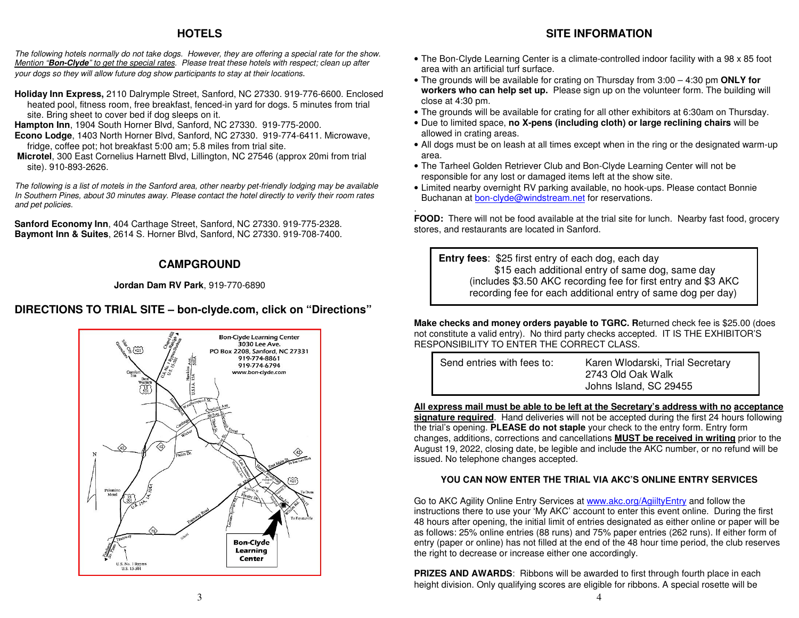### **HOTELS**

The following hotels normally do not take dogs. However, they are offering a special rate for the show. Mention "**Bon-Clyde**" to get the special rates. Please treat these hotels with respect; clean up after your dogs so they will allow future dog show participants to stay at their locations.

- **Holiday Inn Express,** 2110 Dalrymple Street, Sanford, NC 27330. 919-776-6600. Enclosed heated pool, fitness room, free breakfast, fenced-in yard for dogs. 5 minutes from trial site. Bring sheet to cover bed if dog sleeps on it.
- **Hampton Inn**, 1904 South Horner Blvd, Sanford, NC 27330. 919-775-2000.
- **Econo Lodge**, 1403 North Horner Blvd, Sanford, NC 27330. 919-774-6411. Microwave, fridge, coffee pot; hot breakfast 5:00 am; 5.8 miles from trial site.
- **Microtel**, 300 East Cornelius Harnett Blvd, Lillington, NC 27546 (approx 20mi from trial site). 910-893-2626.

The following is a list of motels in the Sanford area, other nearby pet-friendly lodging may be available In Southern Pines, about 30 minutes away. Please contact the hotel directly to verify their room ratesand pet policies.

**Sanford Economy Inn**, 404 Carthage Street, Sanford, NC 27330. 919-775-2328. **Baymont Inn & Suites**, 2614 S. Horner Blvd, Sanford, NC 27330. 919-708-7400.

### **CAMPGROUND**

### **Jordan Dam RV Park**, 919-770-6890

## **DIRECTIONS TO TRIAL SITE – bon-clyde.com, click on "Directions"**



## **SITE INFORMATION**

- The Bon-Clyde Learning Center is a climate-controlled indoor facility with a 98 x 85 foot area with an artificial turf surface.
- The grounds will be available for crating on Thursday from 3:00 4:30 pm **ONLY for workers who can help set up.** Please sign up on the volunteer form. The building will close at 4:30 pm.
- The grounds will be available for crating for all other exhibitors at 6:30am on Thursday.
- Due to limited space, **no X-pens (including cloth) or large reclining chairs** will be allowed in crating areas.
- All dogs must be on leash at all times except when in the ring or the designated warm-up area.
- The Tarheel Golden Retriever Club and Bon-Clyde Learning Center will not be responsible for any lost or damaged items left at the show site.

.

 • Limited nearby overnight RV parking available, no hook-ups. Please contact Bonnie Buchanan at bon-clyde@windstream.net for reservations.

 **FOOD:** There will not be food available at the trial site for lunch. Nearby fast food, grocery stores, and restaurants are located in Sanford.

**Entry fees**: \$25 first entry of each dog, each day \$15 each additional entry of same dog, same day (includes \$3.50 AKC recording fee for first entry and \$3 AKC recording fee for each additional entry of same dog per day)

**Make checks and money orders payable to TGRC. R**eturned check fee is \$25.00 (does not constitute a valid entry). No third party checks accepted. IT IS THE EXHIBITOR'S RESPONSIBILITY TO ENTER THE CORRECT CLASS.

Send entries with fees to: Karen Wlodarski, Trial Secretary 2743 Old Oak Walk Johns Island, SC 29455

**All express mail must be able to be left at the Secretary's address with no acceptance signature required**. Hand deliveries will not be accepted during the first 24 hours following the trial's opening. **PLEASE do not staple** your check to the entry form. Entry form changes, additions, corrections and cancellations **MUST be received in writing** prior to the August 19, 2022, closing date, be legible and include the AKC number, or no refund will be issued. No telephone changes accepted.

### **YOU CAN NOW ENTER THE TRIAL VIA AKC'S ONLINE ENTRY SERVICES**

Go to AKC Agility Online Entry Services at www.akc.org/AgiiltyEntry and follow the instructions there to use your 'My AKC' account to enter this event online. During the first 48 hours after opening, the initial limit of entries designated as either online or paper will be as follows: 25% online entries (88 runs) and 75% paper entries (262 runs). If either form of entry (paper or online) has not filled at the end of the 48 hour time period, the club reserves the right to decrease or increase either one accordingly.

**PRIZES AND AWARDS:** Ribbons will be awarded to first through fourth place in each height division. Only qualifying scores are eligible for ribbons. A special rosette will be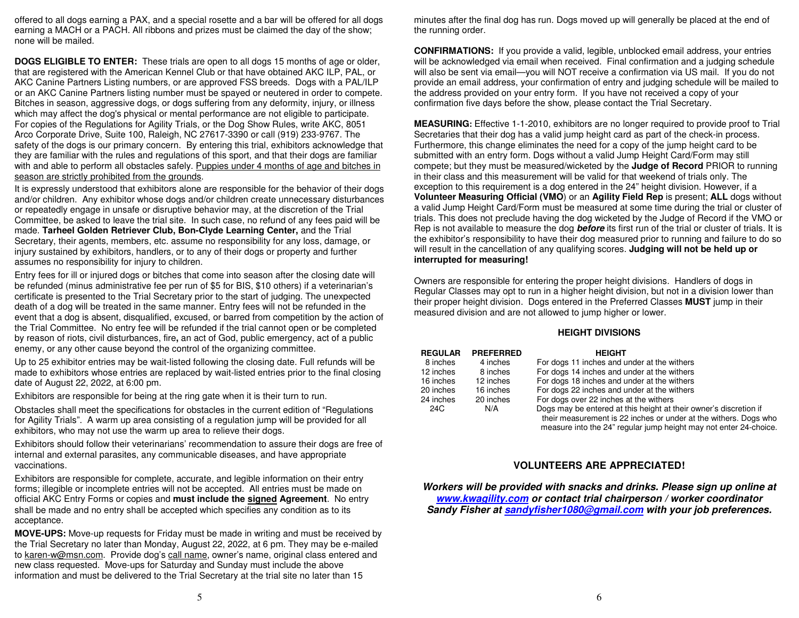offered to all dogs earning a PAX, and a special rosette and a bar will be offered for all dogs earning a MACH or a PACH. All ribbons and prizes must be claimed the day of the show; none will be mailed.

**DOGS ELIGIBLE TO ENTER:** These trials are open to all dogs 15 months of age or older, that are registered with the American Kennel Club or that have obtained AKC ILP, PAL, or AKC Canine Partners Listing numbers, or are approved FSS breeds. Dogs with a PAL/ILP or an AKC Canine Partners listing number must be spayed or neutered in order to compete. Bitches in season, aggressive dogs, or dogs suffering from any deformity, injury, or illness which may affect the dog's physical or mental performance are not eligible to participate. For copies of the Regulations for Agility Trials, or the Dog Show Rules, write AKC, 8051 Arco Corporate Drive, Suite 100, Raleigh, NC 27617-3390 or call (919) 233-9767. The safety of the dogs is our primary concern. By entering this trial, exhibitors acknowledge that they are familiar with the rules and regulations of this sport, and that their dogs are familiar with and able to perform all obstacles safely. Puppies under 4 months of age and bitches in season are strictly prohibited from the grounds.

It is expressly understood that exhibitors alone are responsible for the behavior of their dogs and/or children. Any exhibitor whose dogs and/or children create unnecessary disturbances or repeatedly engage in unsafe or disruptive behavior may, at the discretion of the Trial Committee, be asked to leave the trial site. In such case, no refund of any fees paid will be made. **Tarheel Golden Retriever Club, Bon-Clyde Learning Center,** and the Trial Secretary, their agents, members, etc. assume no responsibility for any loss, damage, or injury sustained by exhibitors, handlers, or to any of their dogs or property and further assumes no responsibility for injury to children.

Entry fees for ill or injured dogs or bitches that come into season after the closing date will be refunded (minus administrative fee per run of \$5 for BIS, \$10 others) if a veterinarian's certificate is presented to the Trial Secretary prior to the start of judging. The unexpected death of a dog will be treated in the same manner. Entry fees will not be refunded in the event that a dog is absent, disqualified, excused, or barred from competition by the action of the Trial Committee. No entry fee will be refunded if the trial cannot open or be completed by reason of riots, civil disturbances, fire**,** an act of God, public emergency, act of a public enemy, or any other cause beyond the control of the organizing committee.

Up to 25 exhibitor entries may be wait-listed following the closing date. Full refunds will be made to exhibitors whose entries are replaced by wait-listed entries prior to the final closing date of August 22, 2022, at 6:00 pm.

Exhibitors are responsible for being at the ring gate when it is their turn to run.

Obstacles shall meet the specifications for obstacles in the current edition of "Regulations for Agility Trials". A warm up area consisting of a regulation jump will be provided for all exhibitors, who may not use the warm up area to relieve their dogs.

Exhibitors should follow their veterinarians' recommendation to assure their dogs are free of internal and external parasites, any communicable diseases, and have appropriate vaccinations.

Exhibitors are responsible for complete, accurate, and legible information on their entry forms; illegible or incomplete entries will not be accepted. All entries must be made on official AKC Entry Forms or copies and **must include the signed Agreement**. No entry shall be made and no entry shall be accepted which specifies any condition as to its acceptance.

**MOVE-UPS:** Move-up requests for Friday must be made in writing and must be received by the Trial Secretary no later than Monday, August 22, 2022, at 6 pm. They may be e-mailed to karen-w@msn.com. Provide dog's call name, owner's name, original class entered and new class requested. Move-ups for Saturday and Sunday must include the above information and must be delivered to the Trial Secretary at the trial site no later than 15

minutes after the final dog has run. Dogs moved up will generally be placed at the end of the running order.

**CONFIRMATIONS:** If you provide a valid, legible, unblocked email address, your entries will be acknowledged via email when received. Final confirmation and a judging schedule will also be sent via email—you will NOT receive a confirmation via US mail. If you do not provide an email address, your confirmation of entry and judging schedule will be mailed to the address provided on your entry form. If you have not received a copy of your confirmation five days before the show, please contact the Trial Secretary.

**MEASURING:** Effective 1-1-2010, exhibitors are no longer required to provide proof to Trial Secretaries that their dog has a valid jump height card as part of the check-in process. Furthermore, this change eliminates the need for a copy of the jump height card to be submitted with an entry form. Dogs without a valid Jump Height Card/Form may still compete; but they must be measured/wicketed by the **Judge of Record** PRIOR to running in their class and this measurement will be valid for that weekend of trials only. The exception to this requirement is a dog entered in the 24" height division. However, if a **Volunteer Measuring Official (VMO**) or an **Agility Field Rep** is present; **ALL** dogs without a valid Jump Height Card/Form must be measured at some time during the trial or cluster of trials. This does not preclude having the dog wicketed by the Judge of Record if the VMO or Rep is not available to measure the dog **before** its first run of the trial or cluster of trials. It is the exhibitor's responsibility to have their dog measured prior to running and failure to do so will result in the cancellation of any qualifying scores. **Judging will not be held up or interrupted for measuring!**

Owners are responsible for entering the proper height divisions. Handlers of dogs in Regular Classes may opt to run in a higher height division, but not in a division lower than their proper height division. Dogs entered in the Preferred Classes **MUST** jump in their measured division and are not allowed to jump higher or lower.

#### **HEIGHT DIVISIONS**

| <b>REGULAR</b> | <b>PREFERRED</b> | <b>HEIGHT</b>                                                     |
|----------------|------------------|-------------------------------------------------------------------|
| 8 inches       | 4 inches         | For dogs 11 inches and under at the withers                       |
| 12 inches      | 8 inches         | For dogs 14 inches and under at the withers                       |
| 16 inches      | 12 inches        | For dogs 18 inches and under at the withers                       |
| 20 inches      | 16 inches        | For dogs 22 inches and under at the withers                       |
| 24 inches      | 20 inches        | For dogs over 22 inches at the withers                            |
| 24C            | N/A              | Dogs may be entered at this height at their owner's discretion if |
|                |                  | their measurement is 22 inches or under at the withers. Dogs who  |
|                |                  | measure into the 24" regular jump height may not enter 24-choice. |

### **VOLUNTEERS ARE APPRECIATED!**

**Workers will be provided with snacks and drinks. Please sign up online at www.kwagility.com or contact trial chairperson / worker coordinator Sandy Fisher at sandyfisher1080@gmail.com with your job preferences.**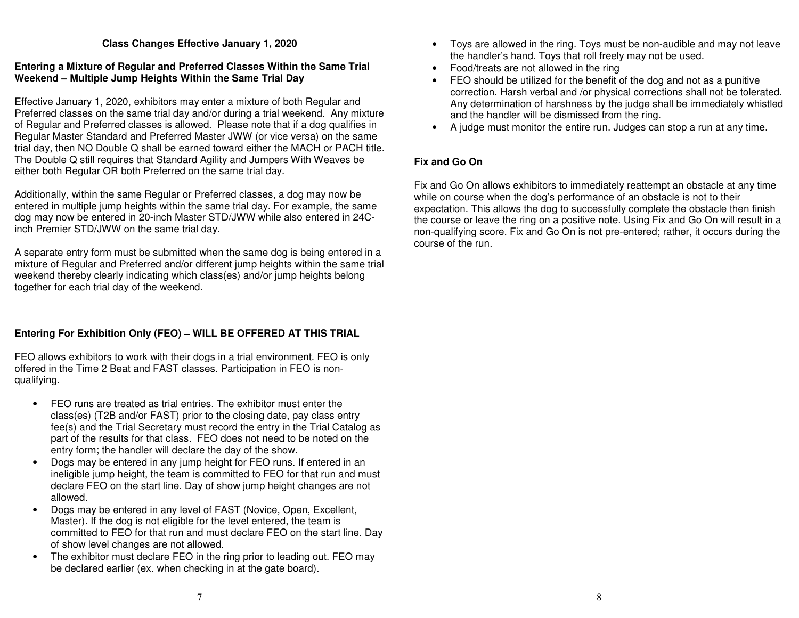#### **Class Changes Effective January 1, 2020**

### **Entering a Mixture of Regular and Preferred Classes Within the Same Trial Weekend – Multiple Jump Heights Within the Same Trial Day**

Effective January 1, 2020, exhibitors may enter a mixture of both Regular and Preferred classes on the same trial day and/or during a trial weekend. Any mixture of Regular and Preferred classes is allowed. Please note that if a dog qualifies in Regular Master Standard and Preferred Master JWW (or vice versa) on the same trial day, then NO Double Q shall be earned toward either the MACH or PACH title. The Double Q still requires that Standard Agility and Jumpers With Weaves be either both Regular OR both Preferred on the same trial day.

Additionally, within the same Regular or Preferred classes, a dog may now be entered in multiple jump heights within the same trial day. For example, the same dog may now be entered in 20-inch Master STD/JWW while also entered in 24Cinch Premier STD/JWW on the same trial day.

A separate entry form must be submitted when the same dog is being entered in a mixture of Regular and Preferred and/or different jump heights within the same trial weekend thereby clearly indicating which class(es) and/or jump heights belong together for each trial day of the weekend.

### **Entering For Exhibition Only (FEO) – WILL BE OFFERED AT THIS TRIAL**

FEO allows exhibitors to work with their dogs in a trial environment. FEO is only offered in the Time 2 Beat and FAST classes. Participation in FEO is nonqualifying.

- FEO runs are treated as trial entries. The exhibitor must enter the class(es) (T2B and/or FAST) prior to the closing date, pay class entry fee(s) and the Trial Secretary must record the entry in the Trial Catalog as part of the results for that class. FEO does not need to be noted on the entry form; the handler will declare the day of the show.
- Dogs may be entered in any jump height for FEO runs. If entered in an ineligible jump height, the team is committed to FEO for that run and must declare FEO on the start line. Day of show jump height changes are not allowed.
- Dogs may be entered in any level of FAST (Novice, Open, Excellent, Master). If the dog is not eligible for the level entered, the team is committed to FEO for that run and must declare FEO on the start line. Day of show level changes are not allowed.
- The exhibitor must declare FEO in the ring prior to leading out. FEO may be declared earlier (ex. when checking in at the gate board).
- Toys are allowed in the ring. Toys must be non-audible and may not leave the handler's hand. Toys that roll freely may not be used.
- Food/treats are not allowed in the ring
- FEO should be utilized for the benefit of the dog and not as a punitive correction. Harsh verbal and /or physical corrections shall not be tolerated. Any determination of harshness by the judge shall be immediately whistled and the handler will be dismissed from the ring.
- A judge must monitor the entire run. Judges can stop a run at any time.

### **Fix and Go On**

Fix and Go On allows exhibitors to immediately reattempt an obstacle at any time while on course when the dog's performance of an obstacle is not to their expectation. This allows the dog to successfully complete the obstacle then finish the course or leave the ring on a positive note. Using Fix and Go On will result in a non-qualifying score. Fix and Go On is not pre-entered; rather, it occurs during the course of the run.